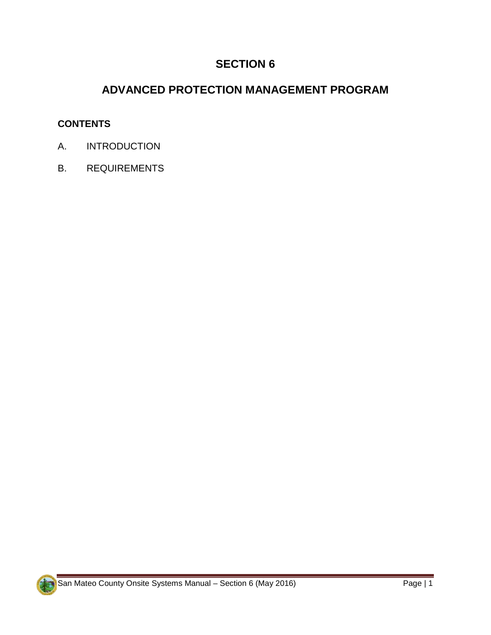# **SECTION 6**

# **ADVANCED PROTECTION MANAGEMENT PROGRAM**

#### **CONTENTS**

- A. INTRODUCTION
- B. REQUIREMENTS

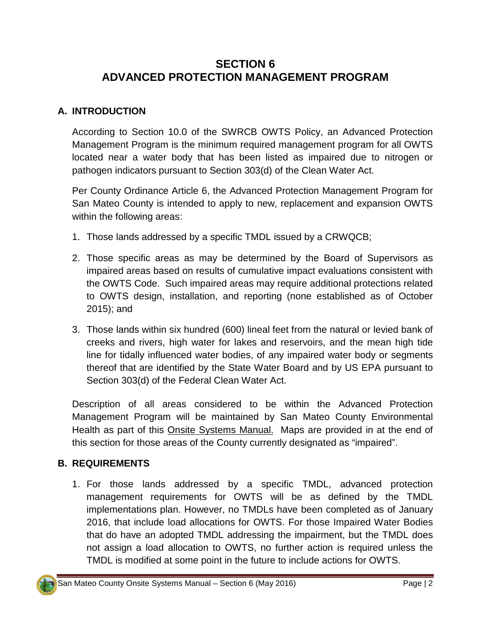## **SECTION 6 ADVANCED PROTECTION MANAGEMENT PROGRAM**

### **A. INTRODUCTION**

According to Section 10.0 of the SWRCB OWTS Policy, an Advanced Protection Management Program is the minimum required management program for all OWTS located near a water body that has been listed as impaired due to nitrogen or pathogen indicators pursuant to Section 303(d) of the Clean Water Act.

Per County Ordinance Article 6, the Advanced Protection Management Program for San Mateo County is intended to apply to new, replacement and expansion OWTS within the following areas:

- 1. Those lands addressed by a specific TMDL issued by a CRWQCB;
- 2. Those specific areas as may be determined by the Board of Supervisors as impaired areas based on results of cumulative impact evaluations consistent with the OWTS Code. Such impaired areas may require additional protections related to OWTS design, installation, and reporting (none established as of October 2015); and
- 3. Those lands within six hundred (600) lineal feet from the natural or levied bank of creeks and rivers, high water for lakes and reservoirs, and the mean high tide line for tidally influenced water bodies, of any impaired water body or segments thereof that are identified by the State Water Board and by US EPA pursuant to Section 303(d) of the Federal Clean Water Act.

Description of all areas considered to be within the Advanced Protection Management Program will be maintained by San Mateo County Environmental Health as part of this Onsite Systems Manual. Maps are provided in at the end of this section for those areas of the County currently designated as "impaired".

### **B. REQUIREMENTS**

1. For those lands addressed by a specific TMDL, advanced protection management requirements for OWTS will be as defined by the TMDL implementations plan. However, no TMDLs have been completed as of January 2016, that include load allocations for OWTS. For those Impaired Water Bodies that do have an adopted TMDL addressing the impairment, but the TMDL does not assign a load allocation to OWTS, no further action is required unless the TMDL is modified at some point in the future to include actions for OWTS.

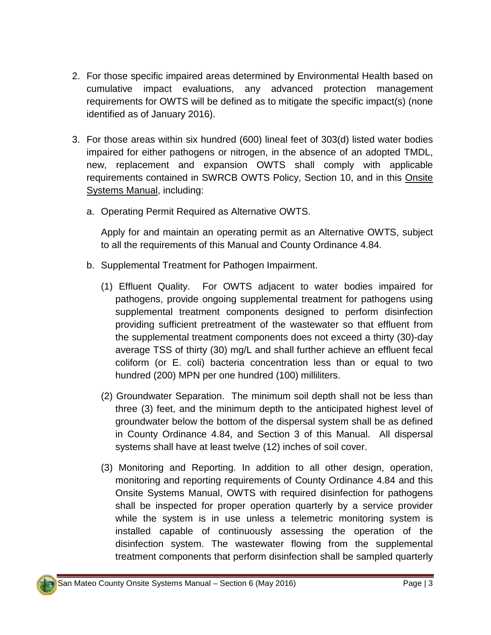- 2. For those specific impaired areas determined by Environmental Health based on cumulative impact evaluations, any advanced protection management requirements for OWTS will be defined as to mitigate the specific impact(s) (none identified as of January 2016).
- 3. For those areas within six hundred (600) lineal feet of 303(d) listed water bodies impaired for either pathogens or nitrogen, in the absence of an adopted TMDL, new, replacement and expansion OWTS shall comply with applicable requirements contained in SWRCB OWTS Policy, Section 10, and in this Onsite Systems Manual, including:
	- a. Operating Permit Required as Alternative OWTS.

Apply for and maintain an operating permit as an Alternative OWTS, subject to all the requirements of this Manual and County Ordinance 4.84.

- b. Supplemental Treatment for Pathogen Impairment.
	- (1) Effluent Quality. For OWTS adjacent to water bodies impaired for pathogens, provide ongoing supplemental treatment for pathogens using supplemental treatment components designed to perform disinfection providing sufficient pretreatment of the wastewater so that effluent from the supplemental treatment components does not exceed a thirty (30)-day average TSS of thirty (30) mg/L and shall further achieve an effluent fecal coliform (or E. coli) bacteria concentration less than or equal to two hundred (200) MPN per one hundred (100) milliliters.
	- (2) Groundwater Separation. The minimum soil depth shall not be less than three (3) feet, and the minimum depth to the anticipated highest level of groundwater below the bottom of the dispersal system shall be as defined in County Ordinance 4.84, and Section 3 of this Manual. All dispersal systems shall have at least twelve (12) inches of soil cover.
	- (3) Monitoring and Reporting. In addition to all other design, operation, monitoring and reporting requirements of County Ordinance 4.84 and this Onsite Systems Manual, OWTS with required disinfection for pathogens shall be inspected for proper operation quarterly by a service provider while the system is in use unless a telemetric monitoring system is installed capable of continuously assessing the operation of the disinfection system. The wastewater flowing from the supplemental treatment components that perform disinfection shall be sampled quarterly

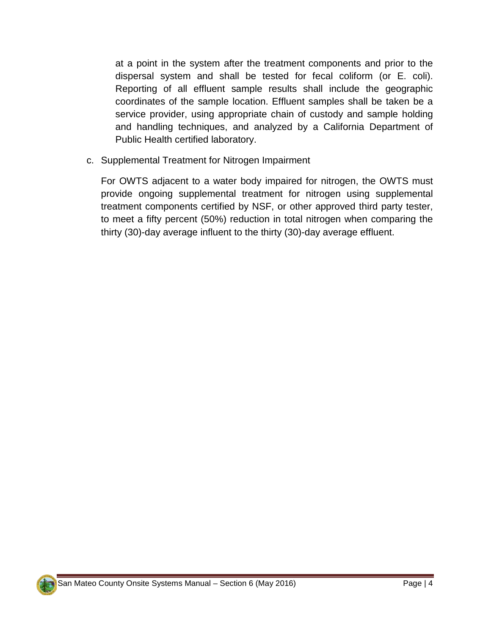at a point in the system after the treatment components and prior to the dispersal system and shall be tested for fecal coliform (or E. coli). Reporting of all effluent sample results shall include the geographic coordinates of the sample location. Effluent samples shall be taken be a service provider, using appropriate chain of custody and sample holding and handling techniques, and analyzed by a California Department of Public Health certified laboratory.

c. Supplemental Treatment for Nitrogen Impairment

For OWTS adjacent to a water body impaired for nitrogen, the OWTS must provide ongoing supplemental treatment for nitrogen using supplemental treatment components certified by NSF, or other approved third party tester, to meet a fifty percent (50%) reduction in total nitrogen when comparing the thirty (30)-day average influent to the thirty (30)-day average effluent.

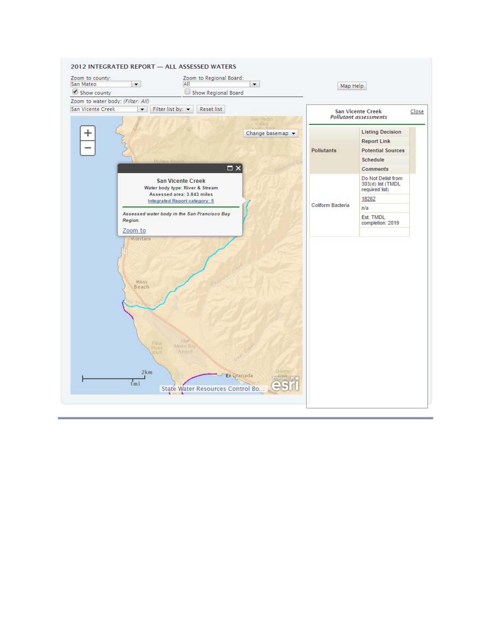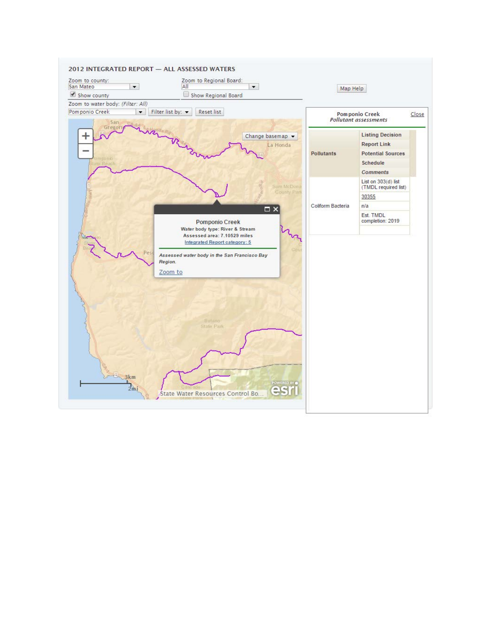